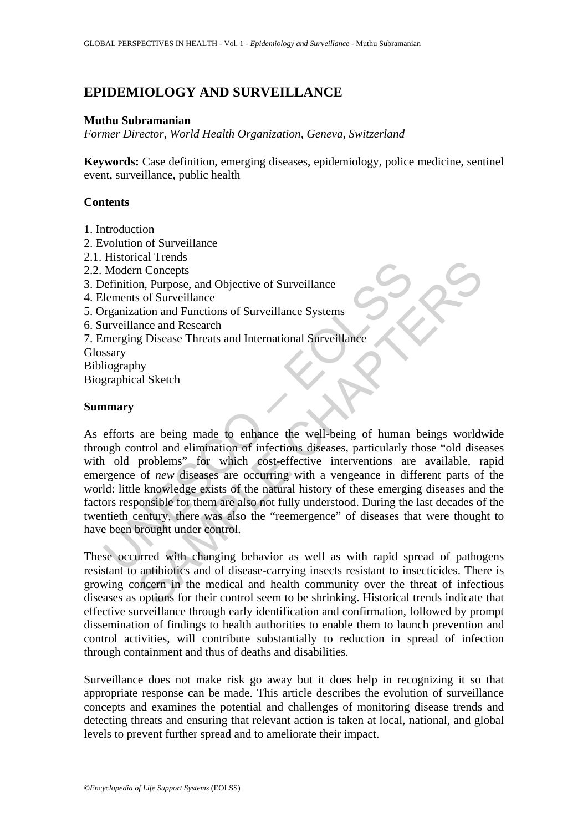# **EPIDEMIOLOGY AND SURVEILLANCE**

#### **Muthu Subramanian**

*Former Director, World Health Organization, Geneva, Switzerland* 

**Keywords:** Case definition, emerging diseases, epidemiology, police medicine, sentinel event, surveillance, public health

## **Contents**

- 1. Introduction
- 2. Evolution of Surveillance
- 2.1. Historical Trends
- 2.2. Modern Concepts
- 3. Definition, Purpose, and Objective of Surveillance
- 4. Elements of Surveillance
- 5. Organization and Functions of Surveillance Systems
- 6. Surveillance and Research
- 7. Emerging Disease Threats and International Surveillance
- Glossary

Bibliography

Biographical Sketch

## **Summary**

Modern Croncepts<br>
Modern Croncepts<br>
efinition, Purpose, and Objective of Surveillance<br>
lements of Surveillance<br>
reganization and Functions of Surveillance<br>
systems<br>
inveriging Disease Threats and International Surveillance Controllarity<br>
and Concepts<br>
on Concepts<br>
on Concepts<br>
on Concepts<br>
on Concepts<br>
on Concepts<br>
on Concepts<br>
g Disease Threats and International Surveillance<br>
ance and Research<br>
py<br>
hy<br>
al Sketch<br>
hy<br>
al Sketch<br>
on deliminat As efforts are being made to enhance the well-being of human beings worldwide through control and elimination of infectious diseases, particularly those "old diseases with old problems" for which cost-effective interventions are available, rapid emergence of *new* diseases are occurring with a vengeance in different parts of the world: little knowledge exists of the natural history of these emerging diseases and the factors responsible for them are also not fully understood. During the last decades of the twentieth century, there was also the "reemergence" of diseases that were thought to have been brought under control.

These occurred with changing behavior as well as with rapid spread of pathogens resistant to antibiotics and of disease-carrying insects resistant to insecticides. There is growing concern in the medical and health community over the threat of infectious diseases as options for their control seem to be shrinking. Historical trends indicate that effective surveillance through early identification and confirmation, followed by prompt dissemination of findings to health authorities to enable them to launch prevention and control activities, will contribute substantially to reduction in spread of infection through containment and thus of deaths and disabilities.

Surveillance does not make risk go away but it does help in recognizing it so that appropriate response can be made. This article describes the evolution of surveillance concepts and examines the potential and challenges of monitoring disease trends and detecting threats and ensuring that relevant action is taken at local, national, and global levels to prevent further spread and to ameliorate their impact.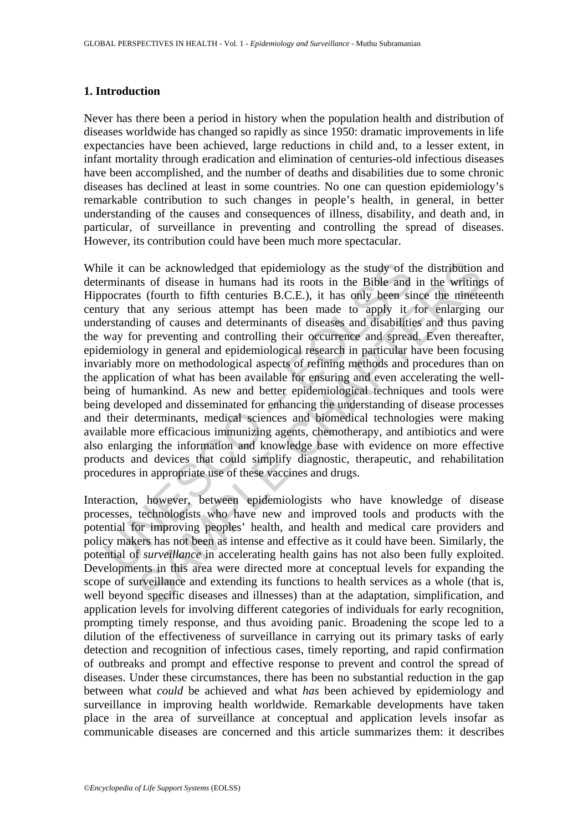## **1. Introduction**

Never has there been a period in history when the population health and distribution of diseases worldwide has changed so rapidly as since 1950: dramatic improvements in life expectancies have been achieved, large reductions in child and, to a lesser extent, in infant mortality through eradication and elimination of centuries-old infectious diseases have been accomplished, and the number of deaths and disabilities due to some chronic diseases has declined at least in some countries. No one can question epidemiology's remarkable contribution to such changes in people's health, in general, in better understanding of the causes and consequences of illness, disability, and death and, in particular, of surveillance in preventing and controlling the spread of diseases. However, its contribution could have been much more spectacular.

ile it can be acknowledged that epidemiology as the study of the minants of disease in humans had its roots in the Bible and poorates (fourth to fifth centuries B.C.E.), it has only been sincury that any serious attempt ha an be acknowledged that epidemiology as the study of the distribution<br>its of disease in humans had its roots in the Bible and in the writing<br>it fount to fifth centuries B.C.E.), it has only been since the minete<br>at any ser While it can be acknowledged that epidemiology as the study of the distribution and determinants of disease in humans had its roots in the Bible and in the writings of Hippocrates (fourth to fifth centuries B.C.E.), it has only been since the nineteenth century that any serious attempt has been made to apply it for enlarging our understanding of causes and determinants of diseases and disabilities and thus paving the way for preventing and controlling their occurrence and spread. Even thereafter, epidemiology in general and epidemiological research in particular have been focusing invariably more on methodological aspects of refining methods and procedures than on the application of what has been available for ensuring and even accelerating the wellbeing of humankind. As new and better epidemiological techniques and tools were being developed and disseminated for enhancing the understanding of disease processes and their determinants, medical sciences and biomedical technologies were making available more efficacious immunizing agents, chemotherapy, and antibiotics and were also enlarging the information and knowledge base with evidence on more effective products and devices that could simplify diagnostic, therapeutic, and rehabilitation procedures in appropriate use of these vaccines and drugs.

Interaction, however, between epidemiologists who have knowledge of disease processes, technologists who have new and improved tools and products with the potential for improving peoples' health, and health and medical care providers and policy makers has not been as intense and effective as it could have been. Similarly, the potential of *surveillance* in accelerating health gains has not also been fully exploited. Developments in this area were directed more at conceptual levels for expanding the scope of surveillance and extending its functions to health services as a whole (that is, well beyond specific diseases and illnesses) than at the adaptation, simplification, and application levels for involving different categories of individuals for early recognition, prompting timely response, and thus avoiding panic. Broadening the scope led to a dilution of the effectiveness of surveillance in carrying out its primary tasks of early detection and recognition of infectious cases, timely reporting, and rapid confirmation of outbreaks and prompt and effective response to prevent and control the spread of diseases. Under these circumstances, there has been no substantial reduction in the gap between what *could* be achieved and what *has* been achieved by epidemiology and surveillance in improving health worldwide. Remarkable developments have taken place in the area of surveillance at conceptual and application levels insofar as communicable diseases are concerned and this article summarizes them: it describes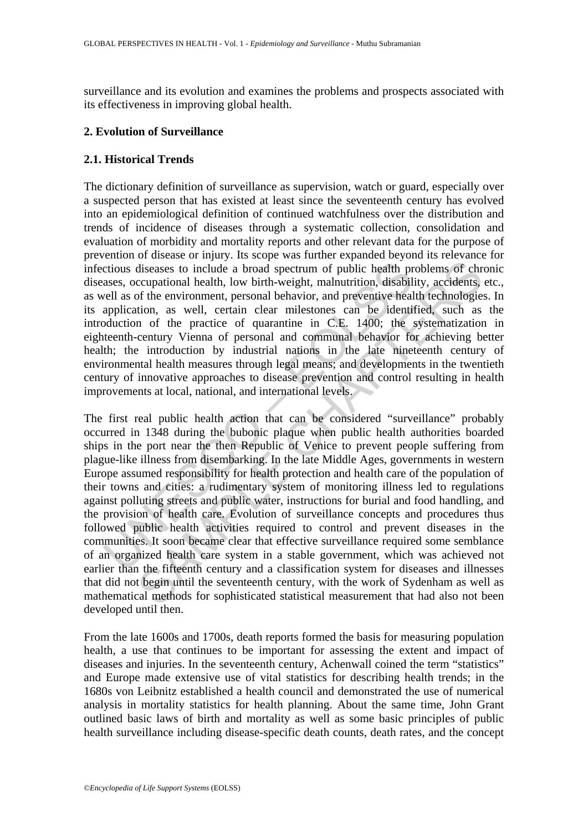surveillance and its evolution and examines the problems and prospects associated with its effectiveness in improving global health.

## **2. Evolution of Surveillance**

## **2.1. Historical Trends**

The dictionary definition of surveillance as supervision, watch or guard, especially over a suspected person that has existed at least since the seventeenth century has evolved into an epidemiological definition of continued watchfulness over the distribution and trends of incidence of diseases through a systematic collection, consolidation and evaluation of morbidity and mortality reports and other relevant data for the purpose of prevention of disease or injury. Its scope was further expanded beyond its relevance for infectious diseases to include a broad spectrum of public health problems of chronic diseases, occupational health, low birth-weight, malnutrition, disability, accidents, etc., as well as of the environment, personal behavior, and preventive health technologies. In its application, as well, certain clear milestones can be identified, such as the introduction of the practice of quarantine in C.E. 1400; the systematization in eighteenth-century Vienna of personal and communal behavior for achieving better health; the introduction by industrial nations in the late nineteenth century of environmental health measures through legal means; and developments in the twentieth century of innovative approaches to disease prevention and control resulting in health improvements at local, national, and international levels.

crious diseases to include a broad spectrum of public health pr<br>ases, occupational health, low birth-weight, malnutrition, disabil<br>vell as of the environment, personal behavior, and preventive heal<br>application, as well, ce of encourage and problem and problem and problems of chromational health, low birth-weight, malnutrition, disability, accidents, of the environment, personal behavior, and prevenive health rehologies and behavior, as well, The first real public health action that can be considered "surveillance" probably occurred in 1348 during the bubonic plaque when public health authorities boarded ships in the port near the then Republic of Venice to prevent people suffering from plague-like illness from disembarking. In the late Middle Ages, governments in western Europe assumed responsibility for health protection and health care of the population of their towns and cities: a rudimentary system of monitoring illness led to regulations against polluting streets and public water, instructions for burial and food handling, and the provision of health care. Evolution of surveillance concepts and procedures thus followed public health activities required to control and prevent diseases in the communities. It soon became clear that effective surveillance required some semblance of an organized health care system in a stable government, which was achieved not earlier than the fifteenth century and a classification system for diseases and illnesses that did not begin until the seventeenth century, with the work of Sydenham as well as mathematical methods for sophisticated statistical measurement that had also not been developed until then.

From the late 1600s and 1700s, death reports formed the basis for measuring population health, a use that continues to be important for assessing the extent and impact of diseases and injuries. In the seventeenth century, Achenwall coined the term "statistics" and Europe made extensive use of vital statistics for describing health trends; in the 1680s von Leibnitz established a health council and demonstrated the use of numerical analysis in mortality statistics for health planning. About the same time, John Grant outlined basic laws of birth and mortality as well as some basic principles of public health surveillance including disease-specific death counts, death rates, and the concept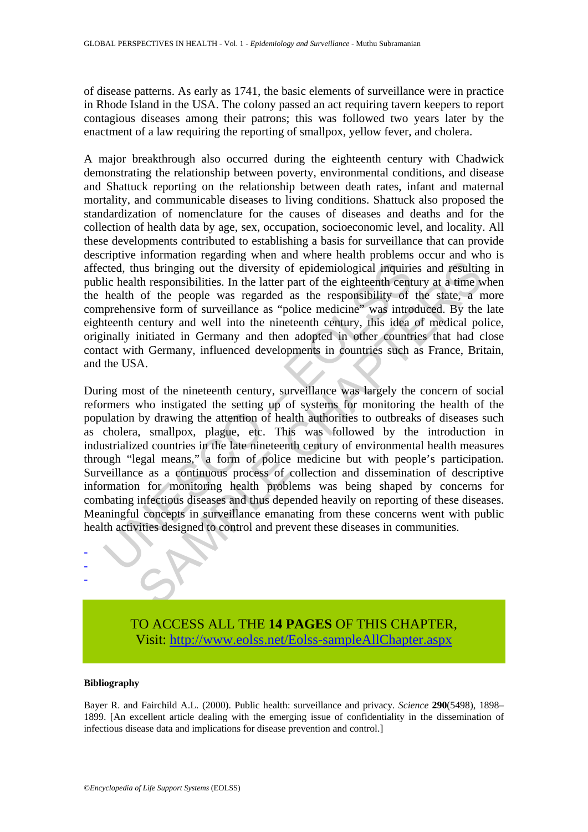of disease patterns. As early as 1741, the basic elements of surveillance were in practice in Rhode Island in the USA. The colony passed an act requiring tavern keepers to report contagious diseases among their patrons; this was followed two years later by the enactment of a law requiring the reporting of smallpox, yellow fever, and cholera.

A major breakthrough also occurred during the eighteenth century with Chadwick demonstrating the relationship between poverty, environmental conditions, and disease and Shattuck reporting on the relationship between death rates, infant and maternal mortality, and communicable diseases to living conditions. Shattuck also proposed the standardization of nomenclature for the causes of diseases and deaths and for the collection of health data by age, sex, occupation, socioeconomic level, and locality. All these developments contributed to establishing a basis for surveillance that can provide descriptive information regarding when and where health problems occur and who is affected, thus bringing out the diversity of epidemiological inquiries and resulting in public health responsibilities. In the latter part of the eighteenth century at a time when the health of the people was regarded as the responsibility of the state, a more comprehensive form of surveillance as "police medicine" was introduced. By the late eighteenth century and well into the nineteenth century, this idea of medical police, originally initiated in Germany and then adopted in other countries that had close contact with Germany, influenced developments in countries such as France, Britain, and the USA.

cted, thus bringing out the diversity of epidemiological inquiric<br>lic health responsibilities. In the latter part of the eighteenth cent<br>health of the people was regarded as the responsibility of<br>prehensive form of surveil In the state of the later than the state of the state of the state of the position of the position of the position of the position of the position of the position of the population of the population of the population of th During most of the nineteenth century, surveillance was largely the concern of social reformers who instigated the setting up of systems for monitoring the health of the population by drawing the attention of health authorities to outbreaks of diseases such as cholera, smallpox, plague, etc. This was followed by the introduction in industrialized countries in the late nineteenth century of environmental health measures through "legal means," a form of police medicine but with people's participation. Surveillance as a continuous process of collection and dissemination of descriptive information for monitoring health problems was being shaped by concerns for combating infectious diseases and thus depended heavily on reporting of these diseases. Meaningful concepts in surveillance emanating from these concerns went with public health activities designed to control and prevent these diseases in communities.



#### **Bibliography**

- - -

Bayer R. and Fairchild A.L. (2000). Public health: surveillance and privacy. *Science* **290**(5498), 1898– 1899. [An excellent article dealing with the emerging issue of confidentiality in the dissemination of infectious disease data and implications for disease prevention and control.]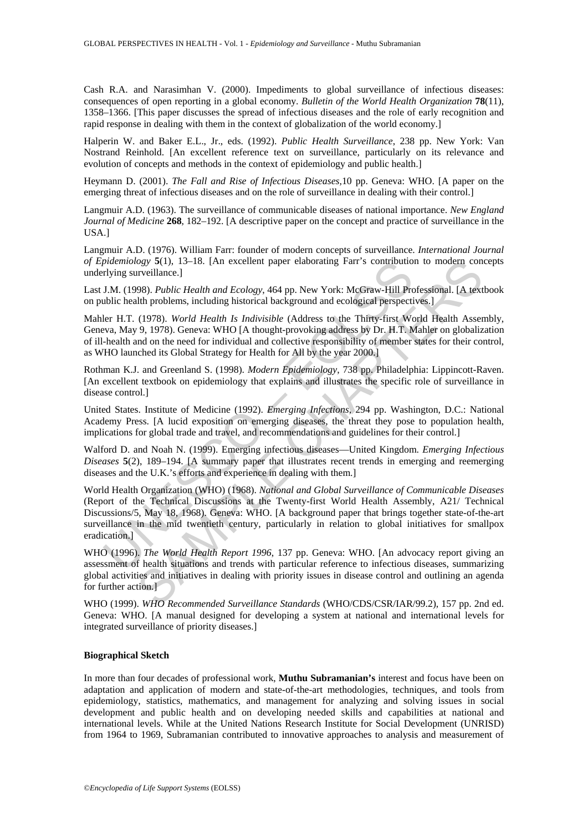Cash R.A. and Narasimhan V. (2000). Impediments to global surveillance of infectious diseases: consequences of open reporting in a global economy. *Bulletin of the World Health Organization* **78**(11), 1358–1366. [This paper discusses the spread of infectious diseases and the role of early recognition and rapid response in dealing with them in the context of globalization of the world economy.]

Halperin W. and Baker E.L., Jr., eds. (1992). *Public Health Surveillance*, 238 pp. New York: Van Nostrand Reinhold. [An excellent reference text on surveillance, particularly on its relevance and evolution of concepts and methods in the context of epidemiology and public health.]

Heymann D. (2001). *The Fall and Rise of Infectious Diseases,*10 pp. Geneva: WHO. [A paper on the emerging threat of infectious diseases and on the role of surveillance in dealing with their control.]

Langmuir A.D. (1963). The surveillance of communicable diseases of national importance. *New England Journal of Medicine* **268**, 182–192. [A descriptive paper on the concept and practice of surveillance in the USA.]

Langmuir A.D. (1976). William Farr: founder of modern concepts of surveillance. *International Journal of Epidemiology* **5**(1), 13–18. [An excellent paper elaborating Farr's contribution to modern concepts underlying surveillance.]

Last J.M. (1998). *Public Health and Ecology*, 464 pp. New York: McGraw-Hill Professional. [A textbook on public health problems, including historical background and ecological perspectives.]

Mahler H.T. (1978). *World Health Is Indivisible* (Address to the Thirty-first World Health Assembly, Geneva, May 9, 1978). Geneva: WHO [A thought-provoking address by Dr. H.T. Mahler on globalization of ill-health and on the need for individual and collective responsibility of member states for their control, as WHO launched its Global Strategy for Health for All by the year 2000.]

Rothman K.J. and Greenland S. (1998). *Modern Epidemiology*, 738 pp. Philadelphia: Lippincott-Raven. [An excellent textbook on epidemiology that explains and illustrates the specific role of surveillance in disease control.]

United States. Institute of Medicine (1992). *Emerging Infections*, 294 pp. Washington, D.C.: National Academy Press. [A lucid exposition on emerging diseases, the threat they pose to population health, implications for global trade and travel, and recommendations and guidelines for their control.]

Walford D. and Noah N. (1999). Emerging infectious diseases—United Kingdom. *Emerging Infectious Diseases* **5**(2), 189–194. [A summary paper that illustrates recent trends in emerging and reemerging diseases and the U.K.'s efforts and experience in dealing with them.]

pidemiology S(1), 13–18. [An excellent paper elaborating Farr's contribution<br>
rlying surveillance.]<br>
J.M. (1998). *Public Health and Ecology*, 464 pp. New York: McGraw-Hill Pro<br>
J.M. (1998). *Public Health and Ecology*, 46 by \$1). 13–18. [An excellent paper elaborating Farr's contribution to modern con-<br>urveillance.]<br>Weild *Health and Ecology*, 464 pp. New York: McGraw-Hill Professional. [A text<br>th problems, including historical background a World Health Organization (WHO) (1968). *National and Global Surveillance of Communicable Diseases* (Report of the Technical Discussions at the Twenty-first World Health Assembly, A21/ Technical Discussions/5, May 18, 1968). Geneva: WHO. [A background paper that brings together state-of-the-art surveillance in the mid twentieth century, particularly in relation to global initiatives for smallpox eradication.]

WHO (1996). *The World Health Report 1996*, 137 pp. Geneva: WHO. [An advocacy report giving an assessment of health situations and trends with particular reference to infectious diseases, summarizing global activities and initiatives in dealing with priority issues in disease control and outlining an agenda for further action.]

WHO (1999). *WHO Recommended Surveillance Standards* (WHO/CDS/CSR/IAR/99.2), 157 pp. 2nd ed. Geneva: WHO. [A manual designed for developing a system at national and international levels for integrated surveillance of priority diseases.]

#### **Biographical Sketch**

In more than four decades of professional work, **Muthu Subramanian's** interest and focus have been on adaptation and application of modern and state-of-the-art methodologies, techniques, and tools from epidemiology, statistics, mathematics, and management for analyzing and solving issues in social development and public health and on developing needed skills and capabilities at national and international levels. While at the United Nations Research Institute for Social Development (UNRISD) from 1964 to 1969, Subramanian contributed to innovative approaches to analysis and measurement of